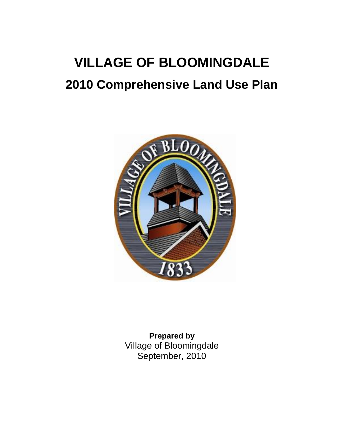# **VILLAGE OF BLOOMINGDALE 2010 Comprehensive Land Use Plan**



**Prepared by** Village of Bloomingdale September, 2010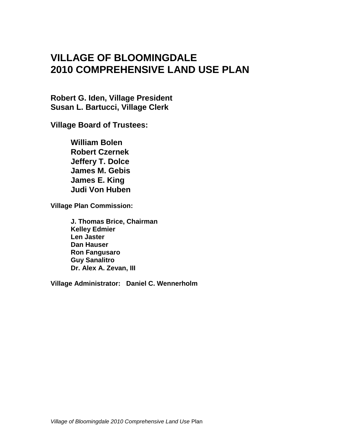## **VILLAGE OF BLOOMINGDALE 2010 COMPREHENSIVE LAND USE PLAN**

**Robert G. Iden, Village President Susan L. Bartucci, Village Clerk**

**Village Board of Trustees:**

**William Bolen Robert Czernek Jeffery T. Dolce James M. Gebis James E. King Judi Von Huben**

**Village Plan Commission:**

**J. Thomas Brice, Chairman Kelley Edmier Len Jaster Dan Hauser Ron Fangusaro Guy Sanalitro Dr. Alex A. Zevan, III**

**Village Administrator: Daniel C. Wennerholm**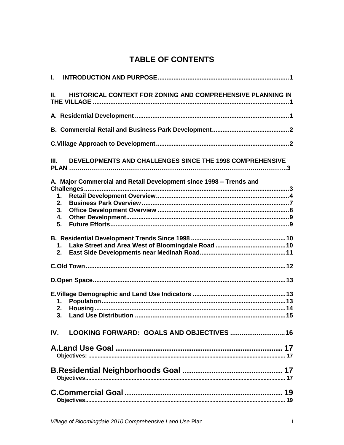## **TABLE OF CONTENTS**

| Ш.       | HISTORICAL CONTEXT FOR ZONING AND COMPREHENSIVE PLANNING IN        |
|----------|--------------------------------------------------------------------|
|          |                                                                    |
|          |                                                                    |
|          |                                                                    |
| III.     | DEVELOPMENTS AND CHALLENGES SINCE THE 1998 COMPREHENSIVE           |
|          | A. Major Commercial and Retail Development since 1998 - Trends and |
|          |                                                                    |
| 1.       |                                                                    |
| 2.<br>3. |                                                                    |
| 4.       |                                                                    |
| 5.       |                                                                    |
|          |                                                                    |
| 1.       |                                                                    |
| 2.       |                                                                    |
|          |                                                                    |
|          |                                                                    |
|          |                                                                    |
| 1.       |                                                                    |
| 2.       |                                                                    |
| 3.       |                                                                    |
| IV.      | LOOKING FORWARD: GOALS AND OBJECTIVES  16                          |
|          |                                                                    |
|          |                                                                    |
|          |                                                                    |
|          |                                                                    |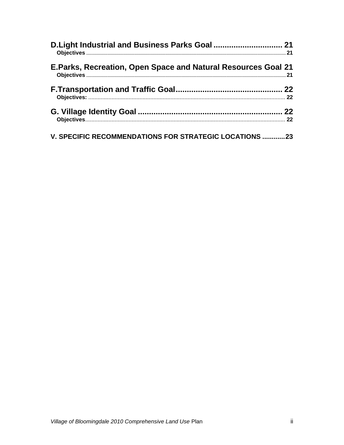| D.Light Industrial and Business Parks Goal  21                |  |
|---------------------------------------------------------------|--|
| E.Parks, Recreation, Open Space and Natural Resources Goal 21 |  |
|                                                               |  |
|                                                               |  |
| V. SPECIFIC RECOMMENDATIONS FOR STRATEGIC LOCATIONS 23        |  |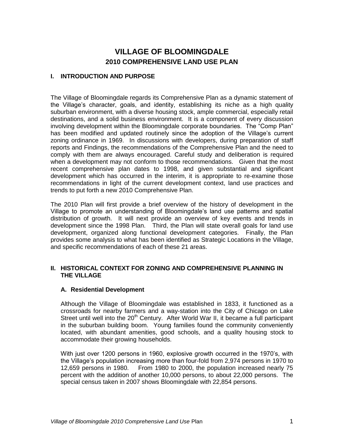### **VILLAGE OF BLOOMINGDALE 2010 COMPREHENSIVE LAND USE PLAN**

#### <span id="page-4-0"></span>**I. INTRODUCTION AND PURPOSE**

The Village of Bloomingdale regards its Comprehensive Plan as a dynamic statement of the Village's character, goals, and identity, establishing its niche as a high quality suburban environment, with a diverse housing stock, ample commercial, especially retail destinations, and a solid business environment. It is a component of every discussion involving development within the Bloomingdale corporate boundaries. The "Comp Plan" has been modified and updated routinely since the adoption of the Village's current zoning ordinance in 1969. In discussions with developers, during preparation of staff reports and Findings, the recommendations of the Comprehensive Plan and the need to comply with them are always encouraged. Careful study and deliberation is required when a development may not conform to those recommendations. Given that the most recent comprehensive plan dates to 1998, and given substantial and significant development which has occurred in the interim, it is appropriate to re-examine those recommendations in light of the current development context, land use practices and trends to put forth a new 2010 Comprehensive Plan.

The 2010 Plan will first provide a brief overview of the history of development in the Village to promote an understanding of Bloomingdale's land use patterns and spatial distribution of growth. It will next provide an overview of key events and trends in development since the 1998 Plan. Third, the Plan will state overall goals for land use development, organized along functional development categories. Finally, the Plan provides some analysis to what has been identified as Strategic Locations in the Village, and specific recommendations of each of these 21 areas.

#### <span id="page-4-1"></span>**II. HISTORICAL CONTEXT FOR ZONING AND COMPREHENSIVE PLANNING IN THE VILLAGE**

#### <span id="page-4-2"></span>**A. Residential Development**

Although the Village of Bloomingdale was established in 1833, it functioned as a crossroads for nearby farmers and a way-station into the City of Chicago on Lake Street until well into the  $20<sup>th</sup>$  Century. After World War II, it became a full participant in the suburban building boom. Young families found the community conveniently located, with abundant amenities, good schools, and a quality housing stock to accommodate their growing households.

With just over 1200 persons in 1960, explosive growth occurred in the 1970's, with the Village's population increasing more than four-fold from 2,974 persons in 1970 to 12,659 persons in 1980. From 1980 to 2000, the population increased nearly 75 percent with the addition of another 10,000 persons, to about 22,000 persons. The special census taken in 2007 shows Bloomingdale with 22,854 persons.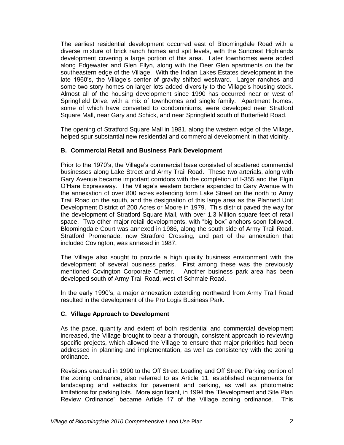The earliest residential development occurred east of Bloomingdale Road with a diverse mixture of brick ranch homes and spit levels, with the Suncrest Highlands development covering a large portion of this area. Later townhomes were added along Edgewater and Glen Ellyn, along with the Deer Glen apartments on the far southeastern edge of the Village. With the Indian Lakes Estates development in the late 1960's, the Village's center of gravity shifted westward. Larger ranches and some two story homes on larger lots added diversity to the Village's housing stock. Almost all of the housing development since 1990 has occurred near or west of Springfield Drive, with a mix of townhomes and single family. Apartment homes, some of which have converted to condominiums, were developed near Stratford Square Mall, near Gary and Schick, and near Springfield south of Butterfield Road.

The opening of Stratford Square Mall in 1981, along the western edge of the Village, helped spur substantial new residential and commercial development in that vicinity.

#### <span id="page-5-0"></span>**B. Commercial Retail and Business Park Development**

Prior to the 1970's, the Village's commercial base consisted of scattered commercial businesses along Lake Street and Army Trail Road. These two arterials, along with Gary Avenue became important corridors with the completion of I-355 and the Elgin O'Hare Expressway. The Village's western borders expanded to Gary Avenue with the annexation of over 800 acres extending form Lake Street on the north to Army Trail Road on the south, and the designation of this large area as the Planned Unit Development District of 200 Acres or Moore in 1979. This district paved the way for the development of Stratford Square Mall, with over 1.3 Million square feet of retail space. Two other major retail developments, with "big box" anchors soon followed. Bloomingdale Court was annexed in 1986, along the south side of Army Trail Road. Stratford Promenade, now Stratford Crossing, and part of the annexation that included Covington, was annexed in 1987.

The Village also sought to provide a high quality business environment with the development of several business parks. First among these was the previously mentioned Covington Corporate Center. Another business park area has been developed south of Army Trail Road, west of Schmale Road.

In the early 1990's, a major annexation extending northward from Army Trail Road resulted in the development of the Pro Logis Business Park.

#### <span id="page-5-1"></span>**C. Village Approach to Development**

As the pace, quantity and extent of both residential and commercial development increased, the Village brought to bear a thorough, consistent approach to reviewing specific projects, which allowed the Village to ensure that major priorities had been addressed in planning and implementation, as well as consistency with the zoning ordinance.

Revisions enacted in 1990 to the Off Street Loading and Off Street Parking portion of the zoning ordinance, also referred to as Article 11, established requirements for landscaping and setbacks for pavement and parking, as well as photometric limitations for parking lots. More significant, in 1994 the "Development and Site Plan Review Ordinance" became Article 17 of the Village zoning ordinance. This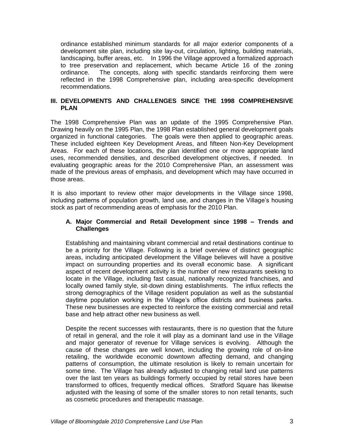ordinance established minimum standards for all major exterior components of a development site plan, including site lay-out, circulation, lighting, building materials, landscaping, buffer areas, etc. In 1996 the Village approved a formalized approach to tree preservation and replacement, which became Article 16 of the zoning ordinance. The concepts, along with specific standards reinforcing them were reflected in the 1998 Comprehensive plan, including area-specific development recommendations.

#### <span id="page-6-0"></span>**III. DEVELOPMENTS AND CHALLENGES SINCE THE 1998 COMPREHENSIVE PLAN**

The 1998 Comprehensive Plan was an update of the 1995 Comprehensive Plan. Drawing heavily on the 1995 Plan, the 1998 Plan established general development goals organized in functional categories. The goals were then applied to geographic areas. These included eighteen Key Development Areas, and fifteen Non-Key Development Areas. For each of these locations, the plan identified one or more appropriate land uses, recommended densities, and described development objectives, if needed. In evaluating geographic areas for the 2010 Comprehensive Plan, an assessment was made of the previous areas of emphasis, and development which may have occurred in those areas.

It is also important to review other major developments in the Village since 1998, including patterns of population growth, land use, and changes in the Village's housing stock as part of recommending areas of emphasis for the 2010 Plan.

#### <span id="page-6-1"></span>**A. Major Commercial and Retail Development since 1998 – Trends and Challenges**

Establishing and maintaining vibrant commercial and retail destinations continue to be a priority for the Village. Following is a brief overview of distinct geographic areas, including anticipated development the Village believes will have a positive impact on surrounding properties and its overall economic base. A significant aspect of recent development activity is the number of new restaurants seeking to locate in the Village, including fast casual, nationally recognized franchises, and locally owned family style, sit-down dining establishments. The influx reflects the strong demographics of the Village resident population as well as the substantial daytime population working in the Village's office districts and business parks. These new businesses are expected to reinforce the existing commercial and retail base and help attract other new business as well.

Despite the recent successes with restaurants, there is no question that the future of retail in general, and the role it will play as a dominant land use in the Village and major generator of revenue for Village services is evolving. Although the cause of these changes are well known, including the growing role of on-line retailing, the worldwide economic downtown affecting demand, and changing patterns of consumption, the ultimate resolution is likely to remain uncertain for some time. The Village has already adjusted to changing retail land use patterns over the last ten years as buildings formerly occupied by retail stores have been transformed to offices, frequently medical offices. Stratford Square has likewise adjusted with the leasing of some of the smaller stores to non retail tenants, such as cosmetic procedures and therapeutic massage.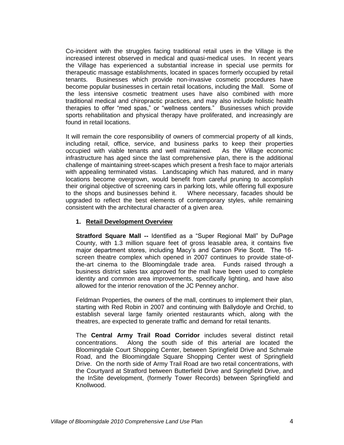Co-incident with the struggles facing traditional retail uses in the Village is the increased interest observed in medical and quasi-medical uses. In recent years the Village has experienced a substantial increase in special use permits for therapeutic massage establishments, located in spaces formerly occupied by retail tenants. Businesses which provide non-invasive cosmetic procedures have become popular businesses in certain retail locations, including the Mall. Some of the less intensive cosmetic treatment uses have also combined with more traditional medical and chiropractic practices, and may also include holistic health therapies to offer "med spas," or "wellness centers." Businesses which provide sports rehabilitation and physical therapy have proliferated, and increasingly are found in retail locations.

It will remain the core responsibility of owners of commercial property of all kinds, including retail, office, service, and business parks to keep their properties occupied with viable tenants and well maintained. As the Village economic infrastructure has aged since the last comprehensive plan, there is the additional challenge of maintaining street-scapes which present a fresh face to major arterials with appealing terminated vistas. Landscaping which has matured, and in many locations become overgrown, would benefit from careful pruning to accomplish their original objective of screening cars in parking lots, while offering full exposure to the shops and businesses behind it. Where necessary, facades should be upgraded to reflect the best elements of contemporary styles, while remaining consistent with the architectural character of a given area.

#### <span id="page-7-0"></span>**1. Retail Development Overview**

**Stratford Square Mall --** Identified as a "Super Regional Mall" by DuPage County, with 1.3 million square feet of gross leasable area, it contains five major department stores, including Macy's and Carson Pirie Scott. The 16 screen theatre complex which opened in 2007 continues to provide state-ofthe-art cinema to the Bloomingdale trade area. Funds raised through a business district sales tax approved for the mall have been used to complete identity and common area improvements, specifically lighting, and have also allowed for the interior renovation of the JC Penney anchor.

Feldman Properties, the owners of the mall, continues to implement their plan, starting with Red Robin in 2007 and continuing with Ballydoyle and Orchid, to establish several large family oriented restaurants which, along with the theatres, are expected to generate traffic and demand for retail tenants.

The **Central Army Trail Road Corridor** includes several distinct retail concentrations. Along the south side of this arterial are located the Bloomingdale Court Shopping Center, between Springfield Drive and Schmale Road, and the Bloomingdale Square Shopping Center west of Springfield Drive. On the north side of Army Trail Road are two retail concentrations, with the Courtyard at Stratford between Butterfield Drive and Springfield Drive, and the InSite development, (formerly Tower Records) between Springfield and Knollwood.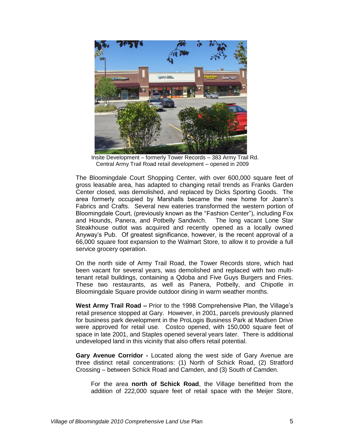

 Insite Development – formerly Tower Records – 383 Army Trail Rd. Central Army Trail Road retail development – opened in 2009

The Bloomingdale Court Shopping Center, with over 600,000 square feet of gross leasable area, has adapted to changing retail trends as Franks Garden Center closed, was demolished, and replaced by Dicks Sporting Goods. The area formerly occupied by Marshalls became the new home for Joann's Fabrics and Crafts. Several new eateries transformed the western portion of Bloomingdale Court, (previously known as the "Fashion Center"), including Fox and Hounds, Panera, and Potbelly Sandwich. The long vacant Lone Star Steakhouse outlot was acquired and recently opened as a locally owned Anyway's Pub. Of greatest significance, however, is the recent approval of a 66,000 square foot expansion to the Walmart Store, to allow it to provide a full service grocery operation.

On the north side of Army Trail Road, the Tower Records store, which had been vacant for several years, was demolished and replaced with two multitenant retail buildings, containing a Qdoba and Five Guys Burgers and Fries. These two restaurants, as well as Panera, Potbelly, and Chipotle in Bloomingdale Square provide outdoor dining in warm weather months.

**West Army Trail Road –** Prior to the 1998 Comprehensive Plan, the Village's retail presence stopped at Gary. However, in 2001, parcels previously planned for business park development in the ProLogis Business Park at Madsen Drive were approved for retail use. Costco opened, with 150,000 square feet of space in late 2001, and Staples opened several years later. There is additional undeveloped land in this vicinity that also offers retail potential.

**Gary Avenue Corridor -** Located along the west side of Gary Avenue are three distinct retail concentrations: (1) North of Schick Road, (2) Stratford Crossing – between Schick Road and Camden, and (3) South of Camden.

For the area **north of Schick Road**, the Village benefitted from the addition of 222,000 square feet of retail space with the Meijer Store,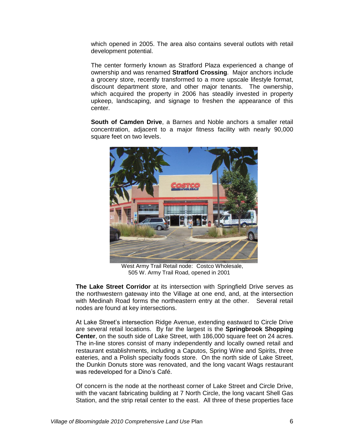which opened in 2005. The area also contains several outlots with retail development potential.

The center formerly known as Stratford Plaza experienced a change of ownership and was renamed **Stratford Crossing**. Major anchors include a grocery store, recently transformed to a more upscale lifestyle format, discount department store, and other major tenants. The ownership, which acquired the property in 2006 has steadily invested in property upkeep, landscaping, and signage to freshen the appearance of this center.

**South of Camden Drive**, a Barnes and Noble anchors a smaller retail concentration, adjacent to a major fitness facility with nearly 90,000 square feet on two levels.



 West Army Trail Retail node: Costco Wholesale, 505 W. Army Trail Road, opened in 2001

**The Lake Street Corridor** at its intersection with Springfield Drive serves as the northwestern gateway into the Village at one end, and, at the intersection with Medinah Road forms the northeastern entry at the other. Several retail nodes are found at key intersections.

At Lake Street's intersection Ridge Avenue, extending eastward to Circle Drive are several retail locations. By far the largest is the **Springbrook Shopping Center**, on the south side of Lake Street, with 186,000 square feet on 24 acres. The in-line stores consist of many independently and locally owned retail and restaurant establishments, including a Caputos, Spring Wine and Spirits, three eateries, and a Polish specialty foods store. On the north side of Lake Street, the Dunkin Donuts store was renovated, and the long vacant Wags restaurant was redeveloped for a Dino's Café.

Of concern is the node at the northeast corner of Lake Street and Circle Drive, with the vacant fabricating building at 7 North Circle, the long vacant Shell Gas Station, and the strip retail center to the east. All three of these properties face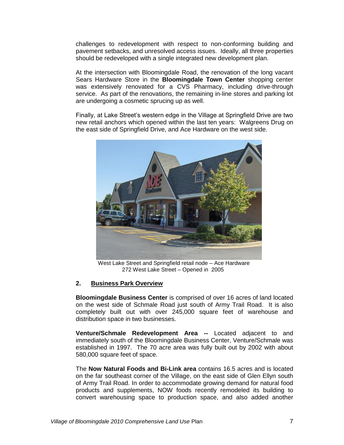challenges to redevelopment with respect to non-conforming building and pavement setbacks, and unresolved access issues. Ideally, all three properties should be redeveloped with a single integrated new development plan.

At the intersection with Bloomingdale Road, the renovation of the long vacant Sears Hardware Store in the **Bloomingdale Town Center** shopping center was extensively renovated for a CVS Pharmacy, including drive-through service. As part of the renovations, the remaining in-line stores and parking lot are undergoing a cosmetic sprucing up as well.

Finally, at Lake Street's western edge in the Village at Springfield Drive are two new retail anchors which opened within the last ten years: Walgreens Drug on the east side of Springfield Drive, and Ace Hardware on the west side.



 West Lake Street and Springfield retail node – Ace Hardware 272 West Lake Street – Opened in 2005

#### <span id="page-10-0"></span>**2. Business Park Overview**

**Bloomingdale Business Center** is comprised of over 16 acres of land located on the west side of Schmale Road just south of Army Trail Road. It is also completely built out with over 245,000 square feet of warehouse and distribution space in two businesses.

**Venture/Schmale Redevelopment Area --** Located adjacent to and immediately south of the Bloomingdale Business Center, Venture/Schmale was established in 1997. The 70 acre area was fully built out by 2002 with about 580,000 square feet of space.

The **Now Natural Foods and Bi-Link area** contains 16.5 acres and is located on the far southeast corner of the Village, on the east side of Glen Ellyn south of Army Trail Road. In order to accommodate growing demand for natural food products and supplements, NOW foods recently remodeled its building to convert warehousing space to production space, and also added another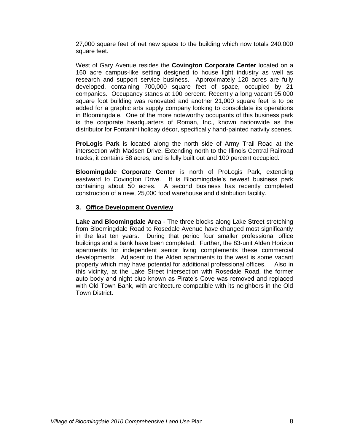27,000 square feet of net new space to the building which now totals 240,000 square feet.

West of Gary Avenue resides the **Covington Corporate Center** located on a 160 acre campus-like setting designed to house light industry as well as research and support service business. Approximately 120 acres are fully developed, containing 700,000 square feet of space, occupied by 21 companies. Occupancy stands at 100 percent. Recently a long vacant 95,000 square foot building was renovated and another 21,000 square feet is to be added for a graphic arts supply company looking to consolidate its operations in Bloomingdale. One of the more noteworthy occupants of this business park is the corporate headquarters of Roman, Inc., known nationwide as the distributor for Fontanini holiday décor, specifically hand-painted nativity scenes.

**ProLogis Park** is located along the north side of Army Trail Road at the intersection with Madsen Drive. Extending north to the Illinois Central Railroad tracks, it contains 58 acres, and is fully built out and 100 percent occupied.

**Bloomingdale Corporate Center** is north of ProLogis Park, extending eastward to Covington Drive. It is Bloomingdale's newest business park containing about 50 acres. A second business has recently completed construction of a new, 25,000 food warehouse and distribution facility.

#### <span id="page-11-0"></span>**3. Office Development Overview**

**Lake and Bloomingdale Area** - The three blocks along Lake Street stretching from Bloomingdale Road to Rosedale Avenue have changed most significantly in the last ten years. During that period four smaller professional office buildings and a bank have been completed. Further, the 83-unit Alden Horizon apartments for independent senior living complements these commercial developments. Adjacent to the Alden apartments to the west is some vacant property which may have potential for additional professional offices. Also in this vicinity, at the Lake Street intersection with Rosedale Road, the former auto body and night club known as Pirate's Cove was removed and replaced with Old Town Bank, with architecture compatible with its neighbors in the Old Town District.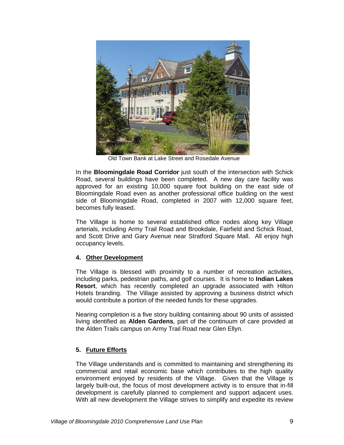

Old Town Bank at Lake Street and Rosedale Avenue

In the **Bloomingdale Road Corridor** just south of the intersection with Schick Road, several buildings have been completed. A new day care facility was approved for an existing 10,000 square foot building on the east side of Bloomingdale Road even as another professional office building on the west side of Bloomingdale Road, completed in 2007 with 12,000 square feet, becomes fully leased.

The Village is home to several established office nodes along key Village arterials, including Army Trail Road and Brookdale, Fairfield and Schick Road, and Scott Drive and Gary Avenue near Stratford Square Mall. All enjoy high occupancy levels.

#### <span id="page-12-0"></span>**4. Other Development**

The Village is blessed with proximity to a number of recreation activities, including parks, pedestrian paths, and golf courses. It is home to **Indian Lakes Resort**, which has recently completed an upgrade associated with Hilton Hotels branding. The Village assisted by approving a business district which would contribute a portion of the needed funds for these upgrades.

Nearing completion is a five story building containing about 90 units of assisted living identified as **Alden Gardens**, part of the continuum of care provided at the Alden Trails campus on Army Trail Road near Glen Ellyn.

#### <span id="page-12-1"></span>**5. Future Efforts**

The Village understands and is committed to maintaining and strengthening its commercial and retail economic base which contributes to the high quality environment enjoyed by residents of the Village. Given that the Village is largely built-out, the focus of most development activity is to ensure that in-fill development is carefully planned to complement and support adjacent uses. With all new development the Village strives to simplify and expedite its review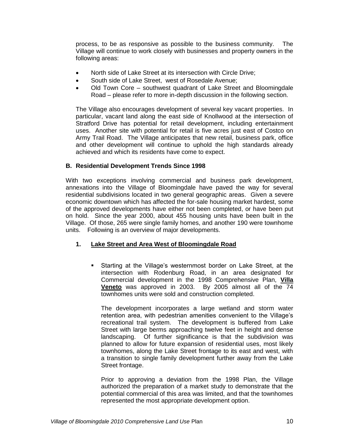process, to be as responsive as possible to the business community. The Village will continue to work closely with businesses and property owners in the following areas:

- North side of Lake Street at its intersection with Circle Drive;
- South side of Lake Street, west of Rosedale Avenue;
- Old Town Core southwest quadrant of Lake Street and Bloomingdale Road – please refer to more in-depth discussion in the following section.

The Village also encourages development of several key vacant properties. In particular, vacant land along the east side of Knollwood at the intersection of Stratford Drive has potential for retail development, including entertainment uses. Another site with potential for retail is five acres just east of Costco on Army Trail Road. The Village anticipates that new retail, business park, office and other development will continue to uphold the high standards already achieved and which its residents have come to expect.

#### <span id="page-13-0"></span>**B. Residential Development Trends Since 1998**

With two exceptions involving commercial and business park development, annexations into the Village of Bloomingdale have paved the way for several residential subdivisions located in two general geographic areas. Given a severe economic downtown which has affected the for-sale housing market hardest, some of the approved developments have either not been completed, or have been put on hold. Since the year 2000, about 455 housing units have been built in the Village. Of those, 265 were single family homes, and another 190 were townhome units. Following is an overview of major developments.

#### <span id="page-13-1"></span>**1. Lake Street and Area West of Bloomingdale Road**

 Starting at the Village's westernmost border on Lake Street, at the intersection with Rodenburg Road, in an area designated for Commercial development in the 1998 Comprehensive Plan, **Villa Veneto** was approved in 2003. By 2005 almost all of the 74 townhomes units were sold and construction completed.

The development incorporates a large wetland and storm water retention area, with pedestrian amenities convenient to the Village's recreational trail system. The development is buffered from Lake Street with large berms approaching twelve feet in height and dense landscaping. Of further significance is that the subdivision was planned to allow for future expansion of residential uses, most likely townhomes, along the Lake Street frontage to its east and west, with a transition to single family development further away from the Lake Street frontage.

Prior to approving a deviation from the 1998 Plan, the Village authorized the preparation of a market study to demonstrate that the potential commercial of this area was limited, and that the townhomes represented the most appropriate development option.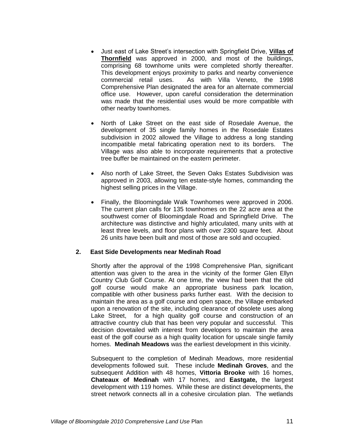- Just east of Lake Street's intersection with Springfield Drive, **Villas of Thornfield** was approved in 2000, and most of the buildings, comprising 68 townhome units were completed shortly thereafter. This development enjoys proximity to parks and nearby convenience commercial retail uses. As with Villa Veneto, the 1998 Comprehensive Plan designated the area for an alternate commercial office use. However, upon careful consideration the determination was made that the residential uses would be more compatible with other nearby townhomes.
- North of Lake Street on the east side of Rosedale Avenue, the development of 35 single family homes in the Rosedale Estates subdivision in 2002 allowed the Village to address a long standing incompatible metal fabricating operation next to its borders. The Village was also able to incorporate requirements that a protective tree buffer be maintained on the eastern perimeter.
- Also north of Lake Street, the Seven Oaks Estates Subdivision was approved in 2003, allowing ten estate-style homes, commanding the highest selling prices in the Village.
- Finally, the Bloomingdale Walk Townhomes were approved in 2006. The current plan calls for 135 townhomes on the 22 acre area at the southwest corner of Bloomingdale Road and Springfield Drive. The architecture was distinctive and highly articulated, many units with at least three levels, and floor plans with over 2300 square feet. About 26 units have been built and most of those are sold and occupied.

#### <span id="page-14-0"></span>**2. East Side Developments near Medinah Road**

Shortly after the approval of the 1998 Comprehensive Plan, significant attention was given to the area in the vicinity of the former Glen Ellyn Country Club Golf Course. At one time, the view had been that the old golf course would make an appropriate business park location, compatible with other business parks further east. With the decision to maintain the area as a golf course and open space, the Village embarked upon a renovation of the site, including clearance of obsolete uses along Lake Street, for a high quality golf course and construction of an attractive country club that has been very popular and successful. This decision dovetailed with interest from developers to maintain the area east of the golf course as a high quality location for upscale single family homes. **Medinah Meadows** was the earliest development in this vicinity.

Subsequent to the completion of Medinah Meadows, more residential developments followed suit. These include **Medinah Groves**, and the subsequent Addition with 48 homes, **Vittoria Brooke** with 16 homes, **Chateaux of Medinah** with 17 homes, and **Eastgate,** the largest development with 119 homes. While these are distinct developments, the street network connects all in a cohesive circulation plan. The wetlands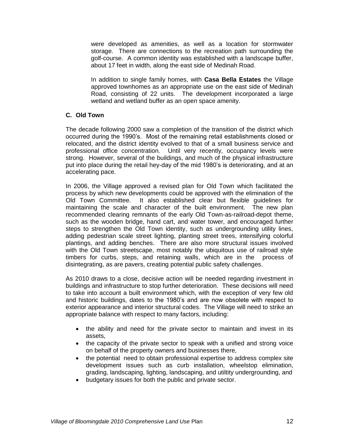were developed as amenities, as well as a location for stormwater storage. There are connections to the recreation path surrounding the golf-course. A common identity was established with a landscape buffer, about 17 feet in width, along the east side of Medinah Road.

In addition to single family homes, with **Casa Bella Estates** the Village approved townhomes as an appropriate use on the east side of Medinah Road, consisting of 22 units. The development incorporated a large wetland and wetland buffer as an open space amenity.

#### <span id="page-15-0"></span>**C. Old Town**

The decade following 2000 saw a completion of the transition of the district which occurred during the 1990's. Most of the remaining retail establishments closed or relocated, and the district identity evolved to that of a small business service and professional office concentration. Until very recently, occupancy levels were strong. However, several of the buildings, and much of the physical infrastructure put into place during the retail hey-day of the mid 1980's is deteriorating, and at an accelerating pace.

In 2006, the Village approved a revised plan for Old Town which facilitated the process by which new developments could be approved with the elimination of the Old Town Committee. It also established clear but flexible guidelines for maintaining the scale and character of the built environment. The new plan recommended clearing remnants of the early Old Town-as-railroad-depot theme, such as the wooden bridge, hand cart, and water tower, and encouraged further steps to strengthen the Old Town identity, such as undergrounding utility lines, adding pedestrian scale street lighting, planting street trees, intensifying colorful plantings, and adding benches. There are also more structural issues involved with the Old Town streetscape, most notably the ubiquitous use of railroad style timbers for curbs, steps, and retaining walls, which are in the process of disintegrating, as are pavers, creating potential public safety challenges.

As 2010 draws to a close, decisive action will be needed regarding investment in buildings and infrastructure to stop further deterioration. These decisions will need to take into account a built environment which, with the exception of very few old and historic buildings, dates to the 1980's and are now obsolete with respect to exterior appearance and interior structural codes. The Village will need to strike an appropriate balance with respect to many factors, including:

- the ability and need for the private sector to maintain and invest in its assets,
- the capacity of the private sector to speak with a unified and strong voice on behalf of the property owners and businesses there,
- the potential need to obtain professional expertise to address complex site development issues such as curb installation, wheelstop elimination, grading, landscaping, lighting, landscaping, and utiltity undergrounding, and
- budgetary issues for both the public and private sector.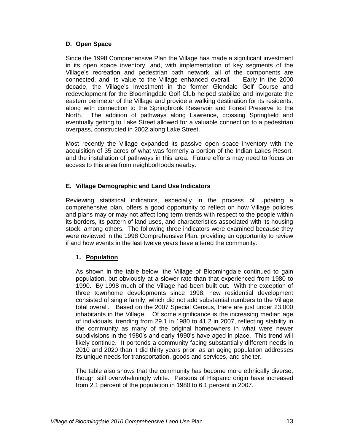#### <span id="page-16-0"></span>**D. Open Space**

Since the 1998 Comprehensive Plan the Village has made a significant investment in its open space inventory, and, with implementation of key segments of the Village's recreation and pedestrian path network, all of the components are connected, and its value to the Village enhanced overall. Early in the 2000 decade, the Village's investment in the former Glendale Golf Course and redevelopment for the Bloomingdale Golf Club helped stabilize and invigorate the eastern perimeter of the Village and provide a walking destination for its residents, along with connection to the Springbrook Reservoir and Forest Preserve to the North. The addition of pathways along Lawrence, crossing Springfield and eventually getting to Lake Street allowed for a valuable connection to a pedestrian overpass, constructed in 2002 along Lake Street.

Most recently the Village expanded its passive open space inventory with the acquisition of 35 acres of what was formerly a portion of the Indian Lakes Resort, and the installation of pathways in this area. Future efforts may need to focus on access to this area from neighborhoods nearby.

#### <span id="page-16-1"></span>**E. Village Demographic and Land Use Indicators**

Reviewing statistical indicators, especially in the process of updating a comprehensive plan, offers a good opportunity to reflect on how Village policies and plans may or may not affect long term trends with respect to the people within its borders, its pattern of land uses, and characteristics associated with its housing stock, among others. The following three indicators were examined because they were reviewed in the 1998 Comprehensive Plan, providing an opportunity to review if and how events in the last twelve years have altered the community.

#### <span id="page-16-2"></span>**1. Population**

As shown in the table below, the Village of Bloomingdale continued to gain population, but obviously at a slower rate than that experienced from 1980 to 1990. By 1998 much of the Village had been built out. With the exception of three townhome developments since 1998, new residential development consisted of single family, which did not add substantial numbers to the Village total overall. Based on the 2007 Special Census, there are just under 23,000 inhabitants in the Village. Of some significance is the increasing median age of individuals, trending from 29.1 in 1980 to 41.2 in 2007, reflecting stability in the community as many of the original homeowners in what were newer subdivisions in the 1980's and early 1990's have aged in place. This trend will likely continue. It portends a community facing substantially different needs in 2010 and 2020 than it did thirty years prior, as an aging population addresses its unique needs for transportation, goods and services, and shelter.

The table also shows that the community has become more ethnically diverse, though still overwhelmingly white. Persons of Hispanic origin have increased from 2.1 percent of the population in 1980 to 6.1 percent in 2007.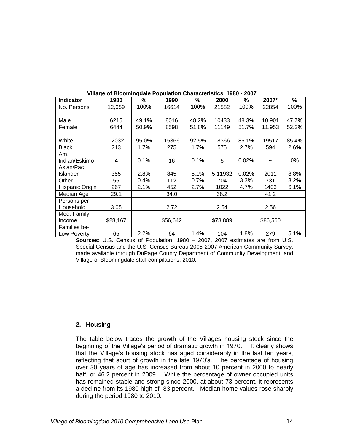| <b>Indicator</b> | 1980     | %     | 1990     | %     | 2000     | %     | 2007*    | ℅     |
|------------------|----------|-------|----------|-------|----------|-------|----------|-------|
| No. Persons      | 12,659   | 100%  | 16614    | 100%  | 21582    | 100%  | 22854    | 100%  |
|                  |          |       |          |       |          |       |          |       |
| Male             | 6215     | 49.1% | 8016     | 48.2% | 10433    | 48.3% | 10,901   | 47.7% |
| Female           | 6444     | 50.9% | 8598     | 51.8% | 11149    | 51.7% | 11.953   | 52.3% |
|                  |          |       |          |       |          |       |          |       |
| White            | 12032    | 95.0% | 15366    | 92.5% | 18366    | 85.1% | 19517    | 85.4% |
| Black            | 213      | 1.7%  | 275      | 1.7%  | 575      | 2.7%  | 594      | 2.6%  |
| Am.              |          |       |          |       |          |       |          |       |
| Indian/Eskimo    | 4        | 0.1%  | 16       | 0.1%  | 5        | 0.02% |          | 0%    |
| Asian/Pac.       |          |       |          |       |          |       |          |       |
| Islander         | 355      | 2.8%  | 845      | 5.1%  | 5.11932  | 0.02% | 2011     | 8.8%  |
| Other            | 55       | 0.4%  | 112      | 0.7%  | 704      | 3.3%  | 731      | 3.2%  |
| Hispanic Origin  | 267      | 2.1%  | 452      | 2.7%  | 1022     | 4.7%  | 1403     | 6.1%  |
| Median Age       | 29.1     |       | 34.0     |       | 38.2     |       | 41.2     |       |
| Persons per      |          |       |          |       |          |       |          |       |
| Household        | 3.05     |       | 2.72     |       | 2.54     |       | 2.56     |       |
| Med. Family      |          |       |          |       |          |       |          |       |
| Income           | \$28,167 |       | \$56,642 |       | \$78,889 |       | \$86,560 |       |
| Families be-     |          |       |          |       |          |       |          |       |
| Low Poverty      | 65       | 2.2%  | 64       | 1.4%  | 104      | 1.8%  | 279      | 5.1%  |

**Sources**: U.S. Census of Population, 1980 – 2007, 2007 estimates are from U.S. Special Census and the U.S. Census Bureau 2005-2007 American Community Survey, made available through DuPage County Department of Community Development, and Village of Bloomingdale staff compilations, 2010.

#### <span id="page-17-0"></span>**2. Housing**

The table below traces the growth of the Villages housing stock since the beginning of the Village's period of dramatic growth in 1970. It clearly shows that the Village's housing stock has aged considerably in the last ten years, reflecting that spurt of growth in the late 1970's. The percentage of housing over 30 years of age has increased from about 10 percent in 2000 to nearly half, or 46.2 percent in 2009. While the percentage of owner occupied units has remained stable and strong since 2000, at about 73 percent, it represents a decline from its 1980 high of 83 percent. Median home values rose sharply during the period 1980 to 2010.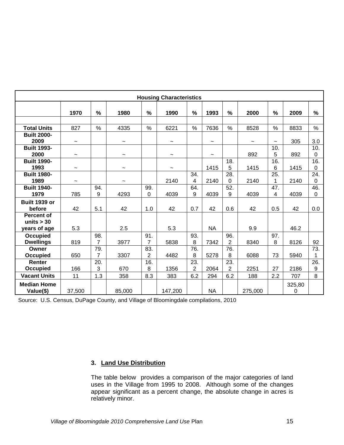| <b>Housing Characteristics</b>                    |                           |                       |                           |                       |                           |                       |           |                       |                       |            |             |                    |
|---------------------------------------------------|---------------------------|-----------------------|---------------------------|-----------------------|---------------------------|-----------------------|-----------|-----------------------|-----------------------|------------|-------------|--------------------|
|                                                   | 1970                      | $\%$                  | 1980                      | $\%$                  | 1990                      | $\frac{0}{0}$         | 1993      | %                     | 2000                  | %          | 2009        | %                  |
|                                                   |                           |                       |                           |                       |                           |                       |           |                       |                       |            |             |                    |
| <b>Total Units</b>                                | 827                       | $\%$                  | 4335                      | $\%$                  | 6221                      | $\%$                  | 7636      | $\%$                  | 8528                  | $\%$       | 8833        | $\%$               |
| <b>Built 2000-</b><br>2009                        | $\widetilde{\phantom{m}}$ |                       | $\widetilde{\phantom{m}}$ |                       | $\widetilde{\phantom{m}}$ |                       | J         |                       | $\tilde{\phantom{a}}$ | $\tilde{}$ | 305         | 3.0                |
| <b>Built 1993-</b><br>2000                        | $\widetilde{\phantom{m}}$ |                       | $\widetilde{\phantom{m}}$ |                       | J                         |                       | J         |                       | 892                   | 10.<br>5   | 892         | 10.<br>0           |
| <b>Built 1990-</b><br>1993                        | $\tilde{}$                |                       | $\widetilde{\phantom{m}}$ |                       | $\tilde{}$                |                       | 1415      | 18.<br>5              | 1415                  | 16.<br>6   | 1415        | 16.<br>$\mathbf 0$ |
| <b>Built 1980-</b><br>1989                        | $\widetilde{\phantom{m}}$ |                       | $\tilde{}$                |                       | 2140                      | 34.<br>4              | 2140      | 28.<br>0              | 2140                  | 25.<br>1   | 2140        | 24.<br>0           |
| <b>Built 1940-</b><br>1979                        | 785                       | 94.<br>9              | 4293                      | 99.<br>0              | 4039                      | 64.<br>9              | 4039      | 52.<br>9              | 4039                  | 47.<br>4   | 4039        | 46.<br>0           |
| <b>Built 1939 or</b><br>before                    | 42                        | 5.1                   | 42                        | 1.0                   | 42                        | 0.7                   | 42        | 0.6                   | 42                    | 0.5        | 42          | 0.0                |
| <b>Percent of</b><br>units $>$ 30<br>years of age | 5.3                       |                       | 2.5                       |                       | 5.3                       |                       | <b>NA</b> |                       | 9.9                   |            | 46.2        |                    |
| Occupied<br><b>Dwellings</b>                      | 819                       | 98.<br>$\overline{7}$ | 3977                      | 91.<br>$\overline{7}$ | 5838                      | 93.<br>8              | 7342      | 96.<br>$\overline{2}$ | 8340                  | 97.<br>8   | 8126        | 92                 |
| Owner<br>Occupied                                 | 650                       | 79.<br>$\overline{7}$ | 3307                      | 83.<br>2              | 4482                      | 76.<br>8              | 5278      | 76.<br>8              | 6088                  | 73         | 5940        | $\overline{73}$ .  |
| Renter<br><b>Occupied</b>                         | 166                       | 20.<br>3              | 670                       | 16.<br>8              | 1356                      | 23.<br>$\overline{2}$ | 2064      | 23.<br>$\overline{2}$ | 2251                  | 27         | 2186        | 26.<br>9           |
| <b>Vacant Units</b>                               | 11                        | 1.3                   | 358                       | 8.3                   | 383                       | 6.2                   | 294       | 6.2                   | 188                   | 2.2        | 707         | 8                  |
| <b>Median Home</b><br>Value(\$)                   | 37,500                    |                       | 85,000                    |                       | 147,200                   |                       | <b>NA</b> |                       | 275,000               |            | 325,80<br>0 |                    |

Source: U.S. Census, DuPage County, and Village of Bloomingdale compilations, 2010

#### <span id="page-18-0"></span>**3. Land Use Distribution**

The table below provides a comparison of the major categories of land uses in the Village from 1995 to 2008. Although some of the changes appear significant as a percent change, the absolute change in acres is relatively minor.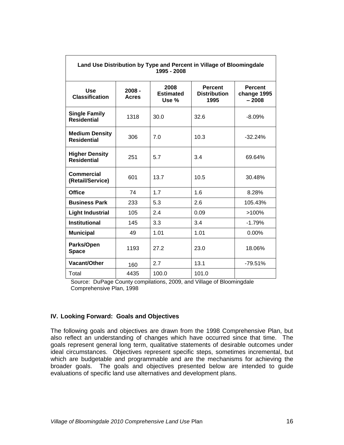| Land Use Distribution by Type and Percent in Village of Bloomingdale<br>1995 - 2008 |                          |                                   |                                               |                                          |  |  |  |
|-------------------------------------------------------------------------------------|--------------------------|-----------------------------------|-----------------------------------------------|------------------------------------------|--|--|--|
| <b>Use</b><br><b>Classification</b>                                                 | $2008 -$<br><b>Acres</b> | 2008<br><b>Estimated</b><br>Use % | <b>Percent</b><br><b>Distribution</b><br>1995 | <b>Percent</b><br>change 1995<br>$-2008$ |  |  |  |
| <b>Single Family</b><br><b>Residential</b>                                          | 1318                     | 30.0                              | 32.6                                          | $-8.09\%$                                |  |  |  |
| <b>Medium Density</b><br><b>Residential</b>                                         | 306                      | 7.0                               | 10.3                                          | $-32.24%$                                |  |  |  |
| <b>Higher Density</b><br><b>Residential</b>                                         | 251                      | 5.7                               | 3.4                                           | 69.64%                                   |  |  |  |
| Commercial<br>(Retail/Service)                                                      | 601                      | 13.7                              | 10.5                                          | 30.48%                                   |  |  |  |
| <b>Office</b>                                                                       | 74                       | 1.7                               | 1.6                                           | 8.28%                                    |  |  |  |
| <b>Business Park</b>                                                                | 233                      | 5.3                               | 2.6                                           | 105.43%                                  |  |  |  |
| <b>Light Industrial</b>                                                             | 105                      | 2.4                               | 0.09                                          | $>100\%$                                 |  |  |  |
| <b>Institutional</b>                                                                | 145                      | 3.3                               | 3.4                                           | $-1.79%$                                 |  |  |  |
| <b>Municipal</b>                                                                    | 49                       | 1.01                              | 1.01                                          | $0.00\%$                                 |  |  |  |
| Parks/Open<br><b>Space</b>                                                          | 1193                     | 27.2                              | 23.0                                          | 18.06%                                   |  |  |  |
| Vacant/Other                                                                        | 160                      | 2.7                               | 13.1                                          | $-79.51%$                                |  |  |  |
| Total                                                                               | 4435                     | 100.0                             | 101.0                                         |                                          |  |  |  |

Source: DuPage County compilations, 2009, and Village of Bloomingdale Comprehensive Plan, 1998

#### <span id="page-19-0"></span>**IV. Looking Forward: Goals and Objectives**

The following goals and objectives are drawn from the 1998 Comprehensive Plan, but also reflect an understanding of changes which have occurred since that time. The goals represent general long term, qualitative statements of desirable outcomes under ideal circumstances. Objectives represent specific steps, sometimes incremental, but which are budgetable and programmable and are the mechanisms for achieving the broader goals. The goals and objectives presented below are intended to guide evaluations of specific land use alternatives and development plans.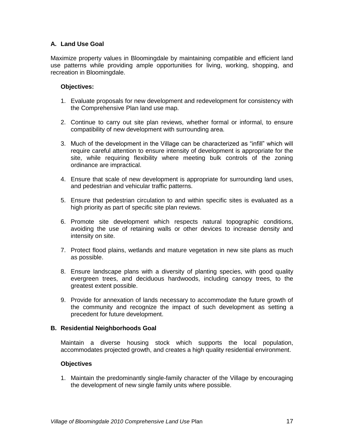#### <span id="page-20-0"></span>**A. Land Use Goal**

Maximize property values in Bloomingdale by maintaining compatible and efficient land use patterns while providing ample opportunities for living, working, shopping, and recreation in Bloomingdale.

#### <span id="page-20-1"></span>**Objectives:**

- 1. Evaluate proposals for new development and redevelopment for consistency with the Comprehensive Plan land use map.
- 2. Continue to carry out site plan reviews, whether formal or informal, to ensure compatibility of new development with surrounding area.
- 3. Much of the development in the Village can be characterized as "infill" which will require careful attention to ensure intensity of development is appropriate for the site, while requiring flexibility where meeting bulk controls of the zoning ordinance are impractical.
- 4. Ensure that scale of new development is appropriate for surrounding land uses, and pedestrian and vehicular traffic patterns.
- 5. Ensure that pedestrian circulation to and within specific sites is evaluated as a high priority as part of specific site plan reviews.
- 6. Promote site development which respects natural topographic conditions, avoiding the use of retaining walls or other devices to increase density and intensity on site.
- 7. Protect flood plains, wetlands and mature vegetation in new site plans as much as possible.
- 8. Ensure landscape plans with a diversity of planting species, with good quality evergreen trees, and deciduous hardwoods, including canopy trees, to the greatest extent possible.
- 9. Provide for annexation of lands necessary to accommodate the future growth of the community and recognize the impact of such development as setting a precedent for future development.

#### <span id="page-20-2"></span>**B. Residential Neighborhoods Goal**

Maintain a diverse housing stock which supports the local population, accommodates projected growth, and creates a high quality residential environment.

#### <span id="page-20-3"></span>**Objectives**

1. Maintain the predominantly single-family character of the Village by encouraging the development of new single family units where possible.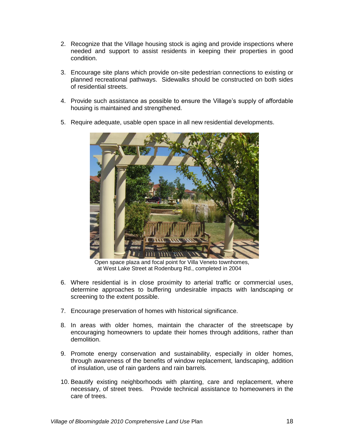- 2. Recognize that the Village housing stock is aging and provide inspections where needed and support to assist residents in keeping their properties in good condition.
- 3. Encourage site plans which provide on-site pedestrian connections to existing or planned recreational pathways. Sidewalks should be constructed on both sides of residential streets.
- 4. Provide such assistance as possible to ensure the Village's supply of affordable housing is maintained and strengthened.
- 5. Require adequate, usable open space in all new residential developments.



 Open space plaza and focal point for Villa Veneto townhomes, at West Lake Street at Rodenburg Rd., completed in 2004

- 6. Where residential is in close proximity to arterial traffic or commercial uses, determine approaches to buffering undesirable impacts with landscaping or screening to the extent possible.
- 7. Encourage preservation of homes with historical significance.
- 8. In areas with older homes, maintain the character of the streetscape by encouraging homeowners to update their homes through additions, rather than demolition.
- 9. Promote energy conservation and sustainability, especially in older homes, through awareness of the benefits of window replacement, landscaping, addition of insulation, use of rain gardens and rain barrels.
- 10. Beautify existing neighborhoods with planting, care and replacement, where necessary, of street trees. Provide technical assistance to homeowners in the care of trees.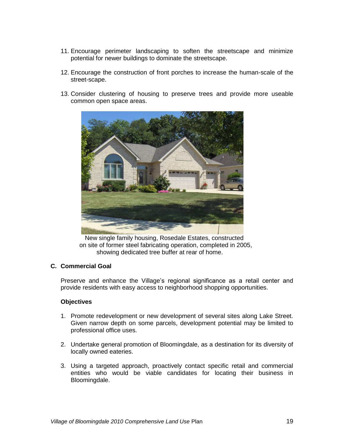- 11. Encourage perimeter landscaping to soften the streetscape and minimize potential for newer buildings to dominate the streetscape.
- 12. Encourage the construction of front porches to increase the human-scale of the street-scape.
- 13. Consider clustering of housing to preserve trees and provide more useable common open space areas.



 New single family housing, Rosedale Estates, constructed on site of former steel fabricating operation, completed in 2005, showing dedicated tree buffer at rear of home.

#### <span id="page-22-0"></span>**C. Commercial Goal**

Preserve and enhance the Village's regional significance as a retail center and provide residents with easy access to neighborhood shopping opportunities.

#### <span id="page-22-1"></span>**Objectives**

- 1. Promote redevelopment or new development of several sites along Lake Street. Given narrow depth on some parcels, development potential may be limited to professional office uses.
- 2. Undertake general promotion of Bloomingdale, as a destination for its diversity of locally owned eateries.
- 3. Using a targeted approach, proactively contact specific retail and commercial entities who would be viable candidates for locating their business in Bloomingdale.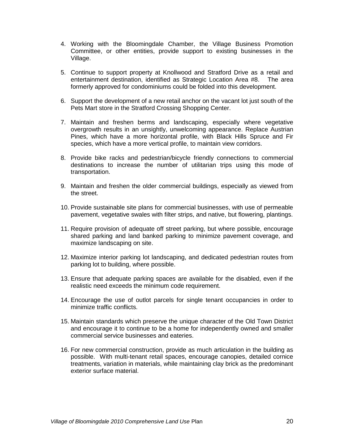- 4. Working with the Bloomingdale Chamber, the Village Business Promotion Committee, or other entities, provide support to existing businesses in the Village.
- 5. Continue to support property at Knollwood and Stratford Drive as a retail and entertainment destination, identified as Strategic Location Area #8. The area formerly approved for condominiums could be folded into this development.
- 6. Support the development of a new retail anchor on the vacant lot just south of the Pets Mart store in the Stratford Crossing Shopping Center.
- 7. Maintain and freshen berms and landscaping, especially where vegetative overgrowth results in an unsightly, unwelcoming appearance. Replace Austrian Pines, which have a more horizontal profile, with Black Hills Spruce and Fir species, which have a more vertical profile, to maintain view corridors.
- 8. Provide bike racks and pedestrian/bicycle friendly connections to commercial destinations to increase the number of utilitarian trips using this mode of transportation.
- 9. Maintain and freshen the older commercial buildings, especially as viewed from the street.
- 10. Provide sustainable site plans for commercial businesses, with use of permeable pavement, vegetative swales with filter strips, and native, but flowering, plantings.
- 11. Require provision of adequate off street parking, but where possible, encourage shared parking and land banked parking to minimize pavement coverage, and maximize landscaping on site.
- 12. Maximize interior parking lot landscaping, and dedicated pedestrian routes from parking lot to building, where possible.
- 13. Ensure that adequate parking spaces are available for the disabled, even if the realistic need exceeds the minimum code requirement.
- 14. Encourage the use of outlot parcels for single tenant occupancies in order to minimize traffic conflicts.
- 15. Maintain standards which preserve the unique character of the Old Town District and encourage it to continue to be a home for independently owned and smaller commercial service businesses and eateries.
- 16. For new commercial construction, provide as much articulation in the building as possible. With multi-tenant retail spaces, encourage canopies, detailed cornice treatments, variation in materials, while maintaining clay brick as the predominant exterior surface material.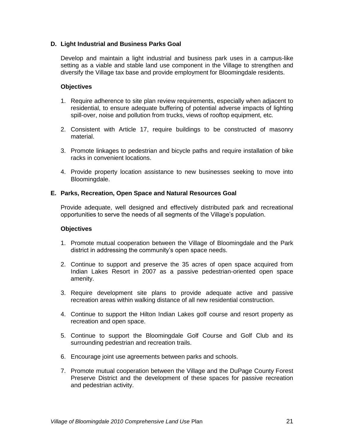#### <span id="page-24-0"></span>**D. Light Industrial and Business Parks Goal**

Develop and maintain a light industrial and business park uses in a campus-like setting as a viable and stable land use component in the Village to strengthen and diversify the Village tax base and provide employment for Bloomingdale residents.

#### <span id="page-24-1"></span>**Objectives**

- 1. Require adherence to site plan review requirements, especially when adjacent to residential, to ensure adequate buffering of potential adverse impacts of lighting spill-over, noise and pollution from trucks, views of rooftop equipment, etc.
- 2. Consistent with Article 17, require buildings to be constructed of masonry material.
- 3. Promote linkages to pedestrian and bicycle paths and require installation of bike racks in convenient locations.
- 4. Provide property location assistance to new businesses seeking to move into Bloomingdale.

#### <span id="page-24-2"></span>**E. Parks, Recreation, Open Space and Natural Resources Goal**

Provide adequate, well designed and effectively distributed park and recreational opportunities to serve the needs of all segments of the Village's population.

#### <span id="page-24-3"></span>**Objectives**

- 1. Promote mutual cooperation between the Village of Bloomingdale and the Park district in addressing the community's open space needs.
- 2. Continue to support and preserve the 35 acres of open space acquired from Indian Lakes Resort in 2007 as a passive pedestrian-oriented open space amenity.
- 3. Require development site plans to provide adequate active and passive recreation areas within walking distance of all new residential construction.
- 4. Continue to support the Hilton Indian Lakes golf course and resort property as recreation and open space.
- 5. Continue to support the Bloomingdale Golf Course and Golf Club and its surrounding pedestrian and recreation trails.
- 6. Encourage joint use agreements between parks and schools.
- 7. Promote mutual cooperation between the Village and the DuPage County Forest Preserve District and the development of these spaces for passive recreation and pedestrian activity.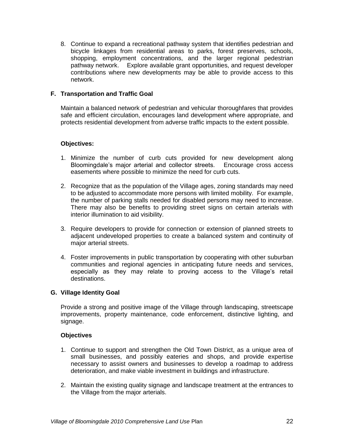8. Continue to expand a recreational pathway system that identifies pedestrian and bicycle linkages from residential areas to parks, forest preserves, schools, shopping, employment concentrations, and the larger regional pedestrian pathway network. Explore available grant opportunities, and request developer contributions where new developments may be able to provide access to this network.

#### <span id="page-25-0"></span>**F. Transportation and Traffic Goal**

Maintain a balanced network of pedestrian and vehicular thoroughfares that provides safe and efficient circulation, encourages land development where appropriate, and protects residential development from adverse traffic impacts to the extent possible.

#### <span id="page-25-1"></span>**Objectives:**

- 1. Minimize the number of curb cuts provided for new development along Bloomingdale's major arterial and collector streets. Encourage cross access easements where possible to minimize the need for curb cuts.
- 2. Recognize that as the population of the Village ages, zoning standards may need to be adjusted to accommodate more persons with limited mobility. For example, the number of parking stalls needed for disabled persons may need to increase. There may also be benefits to providing street signs on certain arterials with interior illumination to aid visibility.
- 3. Require developers to provide for connection or extension of planned streets to adjacent undeveloped properties to create a balanced system and continuity of major arterial streets.
- 4. Foster improvements in public transportation by cooperating with other suburban communities and regional agencies in anticipating future needs and services, especially as they may relate to proving access to the Village's retail destinations.

#### <span id="page-25-2"></span>**G. Village Identity Goal**

Provide a strong and positive image of the Village through landscaping, streetscape improvements, property maintenance, code enforcement, distinctive lighting, and signage.

#### <span id="page-25-3"></span>**Objectives**

- 1. Continue to support and strengthen the Old Town District, as a unique area of small businesses, and possibly eateries and shops, and provide expertise necessary to assist owners and businesses to develop a roadmap to address deterioration, and make viable investment in buildings and infrastructure.
- 2. Maintain the existing quality signage and landscape treatment at the entrances to the Village from the major arterials.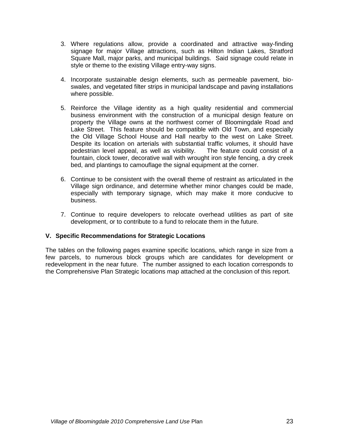- 3. Where regulations allow, provide a coordinated and attractive way-finding signage for major Village attractions, such as Hilton Indian Lakes, Stratford Square Mall, major parks, and municipal buildings. Said signage could relate in style or theme to the existing Village entry-way signs.
- 4. Incorporate sustainable design elements, such as permeable pavement, bioswales, and vegetated filter strips in municipal landscape and paving installations where possible.
- 5. Reinforce the Village identity as a high quality residential and commercial business environment with the construction of a municipal design feature on property the Village owns at the northwest corner of Bloomingdale Road and Lake Street. This feature should be compatible with Old Town, and especially the Old Village School House and Hall nearby to the west on Lake Street. Despite its location on arterials with substantial traffic volumes, it should have pedestrian level appeal, as well as visibility. The feature could consist of a fountain, clock tower, decorative wall with wrought iron style fencing, a dry creek bed, and plantings to camouflage the signal equipment at the corner.
- 6. Continue to be consistent with the overall theme of restraint as articulated in the Village sign ordinance, and determine whether minor changes could be made, especially with temporary signage, which may make it more conducive to business.
- 7. Continue to require developers to relocate overhead utilities as part of site development, or to contribute to a fund to relocate them in the future.

#### <span id="page-26-0"></span>**V. Specific Recommendations for Strategic Locations**

The tables on the following pages examine specific locations, which range in size from a few parcels, to numerous block groups which are candidates for development or redevelopment in the near future. The number assigned to each location corresponds to the Comprehensive Plan Strategic locations map attached at the conclusion of this report.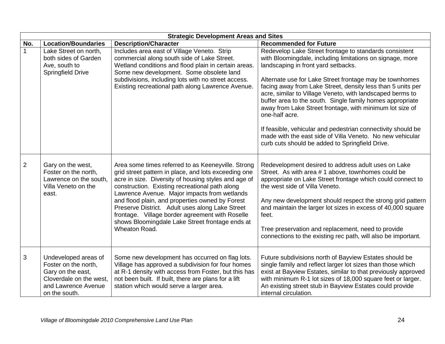|                | <b>Strategic Development Areas and Sites</b>                                                                                         |                                                                                                                                                                                                                                                                                                                                                                                                                                                                                                   |                                                                                                                                                                                                                                                                                                                                                                                                                                                                                                                                                                                                                                                                              |  |  |  |  |  |
|----------------|--------------------------------------------------------------------------------------------------------------------------------------|---------------------------------------------------------------------------------------------------------------------------------------------------------------------------------------------------------------------------------------------------------------------------------------------------------------------------------------------------------------------------------------------------------------------------------------------------------------------------------------------------|------------------------------------------------------------------------------------------------------------------------------------------------------------------------------------------------------------------------------------------------------------------------------------------------------------------------------------------------------------------------------------------------------------------------------------------------------------------------------------------------------------------------------------------------------------------------------------------------------------------------------------------------------------------------------|--|--|--|--|--|
| No.            | <b>Location/Boundaries</b>                                                                                                           | <b>Description/Character</b>                                                                                                                                                                                                                                                                                                                                                                                                                                                                      | <b>Recommended for Future</b>                                                                                                                                                                                                                                                                                                                                                                                                                                                                                                                                                                                                                                                |  |  |  |  |  |
|                | Lake Street on north,<br>both sides of Garden<br>Ave, south to<br><b>Springfield Drive</b>                                           | Includes area east of Village Veneto. Strip<br>commercial along south side of Lake Street.<br>Wetland conditions and flood plain in certain areas.<br>Some new development. Some obsolete land<br>subdivisions, including lots with no street access.<br>Existing recreational path along Lawrence Avenue.                                                                                                                                                                                        | Redevelop Lake Street frontage to standards consistent<br>with Bloomingdale, including limitations on signage, more<br>landscaping in front yard setbacks.<br>Alternate use for Lake Street frontage may be townhomes<br>facing away from Lake Street, density less than 5 units per<br>acre, similar to Village Veneto, with landscaped berms to<br>buffer area to the south. Single family homes appropriate<br>away from Lake Street frontage, with minimum lot size of<br>one-half acre.<br>If feasible, vehicular and pedestrian connectivity should be<br>made with the east side of Villa Veneto. No new vehicular<br>curb cuts should be added to Springfield Drive. |  |  |  |  |  |
| $\overline{2}$ | Gary on the west,<br>Foster on the north,<br>Lawrence on the south,<br>Villa Veneto on the<br>east.                                  | Area some times referred to as Keeneyville. Strong<br>grid street pattern in place, and lots exceeding one<br>acre in size. Diversity of housing styles and age of<br>construction. Existing recreational path along<br>Lawrence Avenue. Major impacts from wetlands<br>and flood plain, and properties owned by Forest<br>Preserve District. Adult uses along Lake Street<br>frontage. Village border agreement with Roselle<br>shows Bloomingdale Lake Street frontage ends at<br>Wheaton Road. | Redevelopment desired to address adult uses on Lake<br>Street. As with area # 1 above, townhomes could be<br>appropriate on Lake Street frontage which could connect to<br>the west side of Villa Veneto.<br>Any new development should respect the strong grid pattern<br>and maintain the larger lot sizes in excess of 40,000 square<br>feet.<br>Tree preservation and replacement, need to provide<br>connections to the existing rec path, will also be important.                                                                                                                                                                                                      |  |  |  |  |  |
| 3              | Undeveloped areas of<br>Foster on the north,<br>Gary on the east,<br>Cloverdale on the west,<br>and Lawrence Avenue<br>on the south. | Some new development has occurred on flag lots.<br>Village has approved a subdivision for four homes<br>at R-1 density with access from Foster, but this has<br>not been built. If built, there are plans for a lift<br>station which would serve a larger area.                                                                                                                                                                                                                                  | Future subdivisions north of Bayview Estates should be<br>single family and reflect larger lot sizes than those which<br>exist at Bayview Estates, similar to that previously approved<br>with minimum R-1 lot sizes of 18,000 square feet or larger.<br>An existing street stub in Bayview Estates could provide<br>internal circulation.                                                                                                                                                                                                                                                                                                                                   |  |  |  |  |  |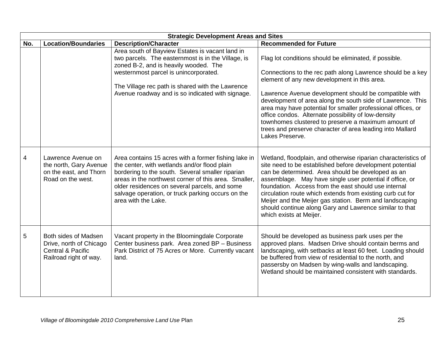|     | <b>Strategic Development Areas and Sites</b>                                                              |                                                                                                                                                                                                                                                                                                                                               |                                                                                                                                                                                                                                                                                                                                                                                                                                                                                                                    |  |  |  |  |  |
|-----|-----------------------------------------------------------------------------------------------------------|-----------------------------------------------------------------------------------------------------------------------------------------------------------------------------------------------------------------------------------------------------------------------------------------------------------------------------------------------|--------------------------------------------------------------------------------------------------------------------------------------------------------------------------------------------------------------------------------------------------------------------------------------------------------------------------------------------------------------------------------------------------------------------------------------------------------------------------------------------------------------------|--|--|--|--|--|
| No. | <b>Location/Boundaries</b>                                                                                | <b>Description/Character</b>                                                                                                                                                                                                                                                                                                                  | <b>Recommended for Future</b>                                                                                                                                                                                                                                                                                                                                                                                                                                                                                      |  |  |  |  |  |
|     |                                                                                                           | Area south of Bayview Estates is vacant land in<br>two parcels. The easternmost is in the Village, is<br>zoned B-2, and is heavily wooded. The<br>westernmost parcel is unincorporated.                                                                                                                                                       | Flag lot conditions should be eliminated, if possible.<br>Connections to the rec path along Lawrence should be a key<br>element of any new development in this area.                                                                                                                                                                                                                                                                                                                                               |  |  |  |  |  |
|     |                                                                                                           | The Village rec path is shared with the Lawrence<br>Avenue roadway and is so indicated with signage.                                                                                                                                                                                                                                          | Lawrence Avenue development should be compatible with<br>development of area along the south side of Lawrence. This<br>area may have potential for smaller professional offices, or<br>office condos. Alternate possibility of low-density<br>townhomes clustered to preserve a maximum amount of<br>trees and preserve character of area leading into Mallard<br>Lakes Preserve.                                                                                                                                  |  |  |  |  |  |
| 4   | Lawrence Avenue on<br>the north, Gary Avenue<br>on the east, and Thorn<br>Road on the west.               | Area contains 15 acres with a former fishing lake in<br>the center, with wetlands and/or flood plain<br>bordering to the south. Several smaller riparian<br>areas in the northwest corner of this area. Smaller,<br>older residences on several parcels, and some<br>salvage operation, or truck parking occurs on the<br>area with the Lake. | Wetland, floodplain, and otherwise riparian characteristics of<br>site need to be established before development potential<br>can be determined. Area should be developed as an<br>assemblage. May have single user potential if office, or<br>foundation. Access from the east should use internal<br>circulation route which extends from existing curb cut for<br>Meijer and the Meijer gas station. Berm and landscaping<br>should continue along Gary and Lawrence similar to that<br>which exists at Meijer. |  |  |  |  |  |
| 5   | Both sides of Madsen<br>Drive, north of Chicago<br><b>Central &amp; Pacific</b><br>Railroad right of way. | Vacant property in the Bloomingdale Corporate<br>Center business park. Area zoned BP - Business<br>Park District of 75 Acres or More. Currently vacant<br>land.                                                                                                                                                                               | Should be developed as business park uses per the<br>approved plans. Madsen Drive should contain berms and<br>landscaping, with setbacks at least 60 feet. Loading should<br>be buffered from view of residential to the north, and<br>passersby on Madsen by wing-walls and landscaping.<br>Wetland should be maintained consistent with standards.                                                                                                                                                               |  |  |  |  |  |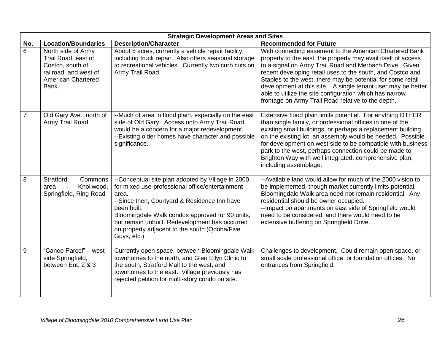|                | <b>Strategic Development Areas and Sites</b>                                                                                 |                                                                                                                                                                                                                                                                                                                                                   |                                                                                                                                                                                                                                                                                                                                                                                                                                                                                                   |  |  |  |  |  |  |
|----------------|------------------------------------------------------------------------------------------------------------------------------|---------------------------------------------------------------------------------------------------------------------------------------------------------------------------------------------------------------------------------------------------------------------------------------------------------------------------------------------------|---------------------------------------------------------------------------------------------------------------------------------------------------------------------------------------------------------------------------------------------------------------------------------------------------------------------------------------------------------------------------------------------------------------------------------------------------------------------------------------------------|--|--|--|--|--|--|
| No.            | <b>Location/Boundaries</b>                                                                                                   | <b>Description/Character</b>                                                                                                                                                                                                                                                                                                                      | <b>Recommended for Future</b>                                                                                                                                                                                                                                                                                                                                                                                                                                                                     |  |  |  |  |  |  |
| 6              | North side of Army<br>Trail Road, east of<br>Costco, south of<br>railroad, and west of<br><b>American Chartered</b><br>Bank. | About 5 acres, currently a vehicle repair facility,<br>including truck repair. Also offers seasonal storage<br>to recreational vehicles. Currently two curb cuts on<br>Army Trail Road.                                                                                                                                                           | With connecting easement to the American Chartered Bank<br>property to the east, the property may avail itself of access<br>to a signal on Army Trail Road and Merbach Drive. Given<br>recent developing retail uses to the south, and Costco and<br>Staples to the west, there may be potential for some retail<br>development at this site. A single tenant user may be better<br>able to utilize the site configuration which has narrow<br>frontage on Army Trail Road relative to the depth. |  |  |  |  |  |  |
| $\overline{7}$ | Old Gary Ave., north of<br>Army Trail Road.                                                                                  | --Much of area in flood plain, especially on the east<br>side of Old Gary. Access onto Army Trail Road<br>would be a concern for a major redevelopment.<br>--Existing older homes have character and possible<br>significance.                                                                                                                    | Extensive flood plain limits potential. For anything OTHER<br>than single family, or professional offices in one of the<br>existing small buildings, or perhaps a replacement building<br>on the existing lot, an assembly would be needed. Possible<br>for development on west side to be compatible with business<br>park to the west, perhaps connection could be made to<br>Brighton Way with well integrated, comprehensive plan,<br>including assemblage.                                   |  |  |  |  |  |  |
| 8              | Stratford<br>Commons<br>Knollwood,<br>area<br>Springfield, Ring Road                                                         | --Conceptual site plan adopted by Village in 2000<br>for mixed use-professional office/entertainment<br>area.<br>--Since then, Courtyard & Residence Inn have<br>been built.<br>Bloomingdale Walk condos approved for 90 units,<br>but remain unbuilt. Redevelopment has occurred<br>on property adjacent to the south (Qdoba/Five<br>Guys, etc.) | --Available land would allow for much of the 2000 vision to<br>be implemented, though market currently limits potential.<br>Bloomingdale Walk area need not remain residential. Any<br>residential should be owner occupied.<br>-- Impact on apartments on east side of Springfield would<br>need to be considered, and there would need to be<br>extensive buffering on Springfield Drive.                                                                                                       |  |  |  |  |  |  |
| 9              | "Canoe Parcel" - west<br>side Springfield,<br>between Ent. 2 & 3                                                             | Currently open space, between Bloomingdale Walk<br>townhomes to the north, and Glen Ellyn Clinic to<br>the south, Stratford Mall to the west, and<br>townhomes to the east. Village previously has<br>rejected petition for multi-story condo on site.                                                                                            | Challenges to development. Could remain open space, or<br>small scale professional office, or foundation offices. No<br>entrances from Springfield.                                                                                                                                                                                                                                                                                                                                               |  |  |  |  |  |  |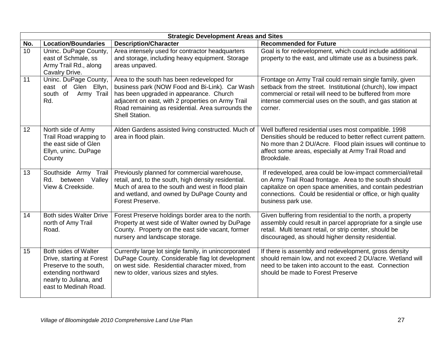|                 | <b>Strategic Development Areas and Sites</b>                                                                                                          |                                                                                                                                                                                                                                                                     |                                                                                                                                                                                                                                                                         |  |  |  |  |  |
|-----------------|-------------------------------------------------------------------------------------------------------------------------------------------------------|---------------------------------------------------------------------------------------------------------------------------------------------------------------------------------------------------------------------------------------------------------------------|-------------------------------------------------------------------------------------------------------------------------------------------------------------------------------------------------------------------------------------------------------------------------|--|--|--|--|--|
| No.             | <b>Location/Boundaries</b>                                                                                                                            | <b>Description/Character</b>                                                                                                                                                                                                                                        | <b>Recommended for Future</b>                                                                                                                                                                                                                                           |  |  |  |  |  |
| 10              | Uninc. DuPage County,<br>east of Schmale, ss<br>Army Trail Rd., along<br>Cavalry Drive.                                                               | Area intensely used for contractor headquarters<br>and storage, including heavy equipment. Storage<br>areas unpaved.                                                                                                                                                | Goal is for redevelopment, which could include additional<br>property to the east, and ultimate use as a business park.                                                                                                                                                 |  |  |  |  |  |
| 11              | Uninc. DuPage County,<br>east of Glen Ellyn,<br>south of<br>Army Trail<br>Rd.                                                                         | Area to the south has been redeveloped for<br>business park (NOW Food and Bi-Link). Car Wash<br>has been upgraded in appearance. Church<br>adjacent on east, with 2 properties on Army Trail<br>Road remaining as residential. Area surrounds the<br>Shell Station. | Frontage on Army Trail could remain single family, given<br>setback from the street. Institutional (church), low impact<br>commercial or retail will need to be buffered from more<br>intense commercial uses on the south, and gas station at<br>corner.               |  |  |  |  |  |
| 12 <sup>°</sup> | North side of Army<br>Trail Road wrapping to<br>the east side of Glen<br>Ellyn, uninc. DuPage<br>County                                               | Alden Gardens assisted living constructed. Much of<br>area in flood plain.                                                                                                                                                                                          | Well buffered residential uses most compatible. 1998<br>Densities should be reduced to better reflect current pattern.<br>No more than 2 DU/Acre. Flood plain issues will continue to<br>affect some areas, especially at Army Trail Road and<br>Brookdale.             |  |  |  |  |  |
| 13              | Southside Army Trail<br>between Valley<br>Rd.<br>View & Creekside.                                                                                    | Previously planned for commercial warehouse,<br>retail, and, to the south, high density residential.<br>Much of area to the south and west in flood plain<br>and wetland, and owned by DuPage County and<br>Forest Preserve.                                        | If redeveloped, area could be low-impact commercial/retail<br>on Army Trail Road frontage. Area to the south should<br>capitalize on open space amenities, and contain pedestrian<br>connections. Could be residential or office, or high quality<br>business park use. |  |  |  |  |  |
| 14              | <b>Both sides Walter Drive</b><br>north of Amy Trail<br>Road.                                                                                         | Forest Preserve holdings border area to the north.<br>Property at west side of Walter owned by DuPage<br>County. Property on the east side vacant, former<br>nursery and landscape storage.                                                                         | Given buffering from residential to the north, a property<br>assembly could result in parcel appropriate for a single use<br>retail. Multi tenant retail, or strip center, should be<br>discouraged, as should higher density residential.                              |  |  |  |  |  |
| 15              | Both sides of Walter<br>Drive, starting at Forest<br>Preserve to the south,<br>extending northward<br>nearly to Juliana, and<br>east to Medinah Road. | Currently large lot single family, in unincorporated<br>DuPage County. Considerable flag lot development<br>on west side. Residential character mixed, from<br>new to older, various sizes and styles.                                                              | If there is assembly and redevelopment, gross density<br>should remain low, and not exceed 2 DU/acre. Wetland will<br>need to be taken into account to the east. Connection<br>should be made to Forest Preserve                                                        |  |  |  |  |  |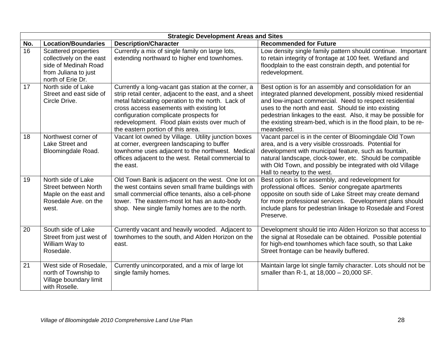|     | <b>Strategic Development Areas and Sites</b>                                                                          |                                                                                                                                                                                                                                                                                                                                                  |                                                                                                                                                                                                                                                                                                                                                                                           |  |  |  |  |  |
|-----|-----------------------------------------------------------------------------------------------------------------------|--------------------------------------------------------------------------------------------------------------------------------------------------------------------------------------------------------------------------------------------------------------------------------------------------------------------------------------------------|-------------------------------------------------------------------------------------------------------------------------------------------------------------------------------------------------------------------------------------------------------------------------------------------------------------------------------------------------------------------------------------------|--|--|--|--|--|
| No. | <b>Location/Boundaries</b>                                                                                            | <b>Description/Character</b>                                                                                                                                                                                                                                                                                                                     | <b>Recommended for Future</b>                                                                                                                                                                                                                                                                                                                                                             |  |  |  |  |  |
| 16  | Scattered properties<br>collectively on the east<br>side of Medinah Road<br>from Juliana to just<br>north of Erie Dr. | Currently a mix of single family on large lots,<br>extending northward to higher end townhomes.                                                                                                                                                                                                                                                  | Low density single family pattern should continue. Important<br>to retain integrity of frontage at 100 feet. Wetland and<br>floodplain to the east constrain depth, and potential for<br>redevelopment.                                                                                                                                                                                   |  |  |  |  |  |
| 17  | North side of Lake<br>Street and east side of<br>Circle Drive.                                                        | Currently a long-vacant gas station at the corner, a<br>strip retail center, adjacent to the east, and a sheet<br>metal fabricating operation to the north. Lack of<br>cross access easements with existing lot<br>configuration complicate prospects for<br>redevelopment. Flood plain exists over much of<br>the eastern portion of this area. | Best option is for an assembly and consolidation for an<br>integrated planned development, possibly mixed residential<br>and low-impact commercial. Need to respect residential<br>uses to the north and east. Should tie into existing<br>pedestrian linkages to the east. Also, it may be possible for<br>the existing stream-bed, which is in the flood plain, to be re-<br>meandered. |  |  |  |  |  |
| 18  | Northwest corner of<br>Lake Street and<br>Bloomingdale Road.                                                          | Vacant lot owned by Village. Utility junction boxes<br>at corner, evergreen landscaping to buffer<br>townhome uses adjacent to the northwest. Medical<br>offices adjacent to the west. Retail commercial to<br>the east.                                                                                                                         | Vacant parcel is in the center of Bloomingdale Old Town<br>area, and is a very visible crossroads. Potential for<br>development with municipal feature, such as fountain,<br>natural landscape, clock-tower, etc. Should be compatible<br>with Old Town, and possibly be integrated with old Village<br>Hall to nearby to the west.                                                       |  |  |  |  |  |
| 19  | North side of Lake<br><b>Street between North</b><br>Maple on the east and<br>Rosedale Ave. on the<br>west.           | Old Town Bank is adjacent on the west. One lot on<br>the west contains seven small frame buildings with<br>small commercial office tenants, also a cell-phone<br>tower. The eastern-most lot has an auto-body<br>shop. New single family homes are to the north.                                                                                 | Best option is for assembly, and redevelopment for<br>professional offices. Senior congregate apartments<br>opposite on south side of Lake Street may create demand<br>for more professional services. Development plans should<br>include plans for pedestrian linkage to Rosedale and Forest<br>Preserve.                                                                               |  |  |  |  |  |
| 20  | South side of Lake<br>Street from just west of<br>William Way to<br>Rosedale.                                         | Currently vacant and heavily wooded. Adjacent to<br>townhomes to the south, and Alden Horizon on the<br>east.                                                                                                                                                                                                                                    | Development should tie into Alden Horizon so that access to<br>the signal at Rosedale can be obtained. Possible potential<br>for high-end townhomes which face south, so that Lake<br>Street frontage can be heavily buffered.                                                                                                                                                            |  |  |  |  |  |
| 21  | West side of Rosedale,<br>north of Township to<br>Village boundary limit<br>with Roselle.                             | Currently unincorporated, and a mix of large lot<br>single family homes.                                                                                                                                                                                                                                                                         | Maintain large lot single family character. Lots should not be<br>smaller than R-1, at 18,000 - 20,000 SF.                                                                                                                                                                                                                                                                                |  |  |  |  |  |